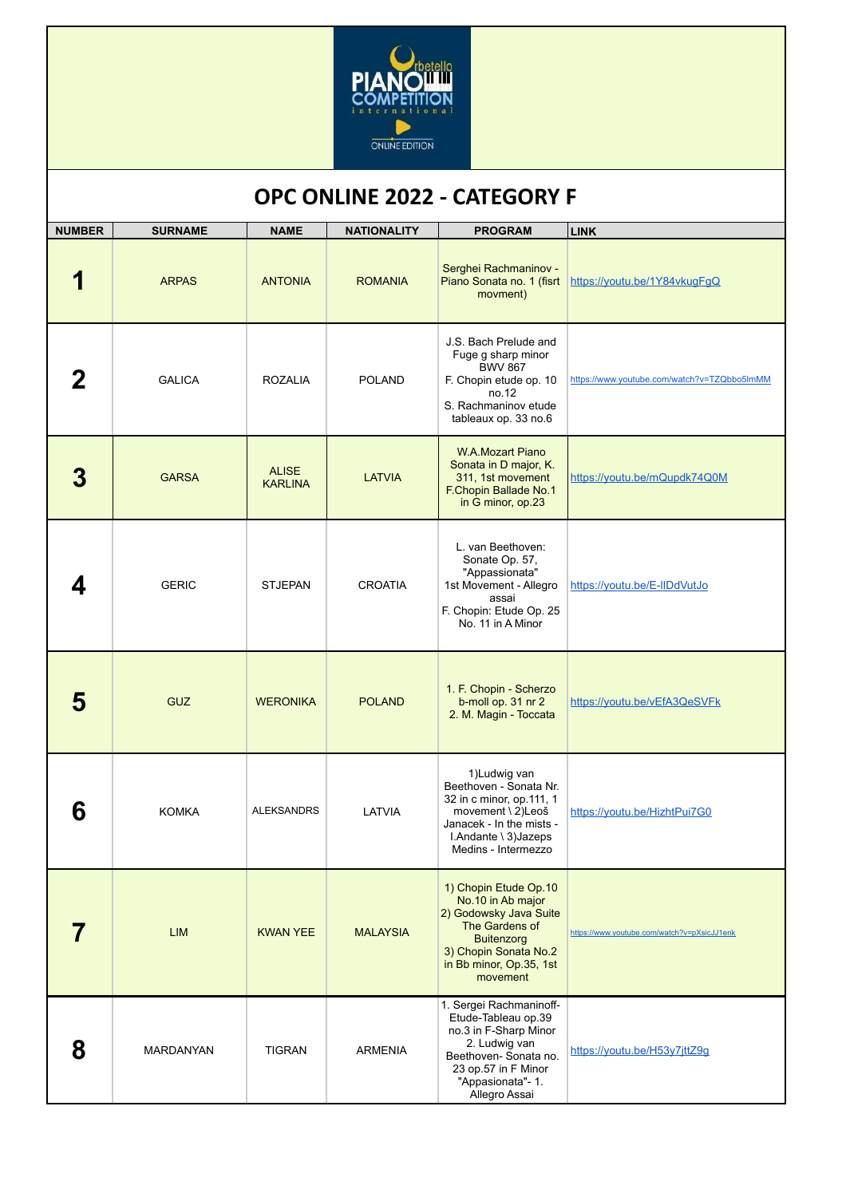

## **OPC ONLINE 2022 - CATEGORY F**

| <b>NUMBER</b> | <b>SURNAME</b> | <b>NAME</b>                    | <b>NATIONALITY</b> | <b>PROGRAM</b>                                                                                                                                                                | <b>LINK</b>                                 |
|---------------|----------------|--------------------------------|--------------------|-------------------------------------------------------------------------------------------------------------------------------------------------------------------------------|---------------------------------------------|
|               | <b>ARPAS</b>   | <b>ANTONIA</b>                 | <b>ROMANIA</b>     | Serghei Rachmaninov -<br>Piano Sonata no. 1 (fisrt<br>movment)                                                                                                                | https://youtu.be/1Y84vkugFgQ                |
|               | <b>GALICA</b>  | <b>ROZALIA</b>                 | <b>POLAND</b>      | J.S. Bach Prelude and<br>Fuge g sharp minor<br><b>BWV 867</b><br>F. Chopin etude op. 10<br>no.12<br>S. Rachmaninov etude<br>tableaux op. 33 no.6                              | https://www.youtube.com/watch?v=TZQbbo5lmMM |
| 3             | <b>GARSA</b>   | <b>ALISE</b><br><b>KARLINA</b> | <b>LATVIA</b>      | <b>W.A.Mozart Piano</b><br>Sonata in D major, K.<br>311, 1st movement<br>F.Chopin Ballade No.1<br>in G minor, op.23                                                           | https://youtu.be/mQupdk74Q0M                |
| 4             | <b>GERIC</b>   | <b>STJEPAN</b>                 | <b>CROATIA</b>     | L. van Beethoven:<br>Sonate Op. 57,<br>"Appassionata"<br>1st Movement - Allegro<br>assai<br>F. Chopin: Etude Op. 25<br>No. 11 in A Minor                                      | https://youtu.be/E-IIDdVutJo                |
| 5             | <b>GUZ</b>     | <b>WERONIKA</b>                | <b>POLAND</b>      | 1. F. Chopin - Scherzo<br>b-moll op. 31 nr 2<br>2. M. Magin - Toccata                                                                                                         | https://youtu.be/vEfA3QeSVFk                |
| 6             | <b>KOMKA</b>   | <b>ALEKSANDRS</b>              | LATVIA             | 1)Ludwig van<br>Beethoven - Sonata Nr.<br>32 in c minor, op.111, 1<br>movement \ 2)Leoš<br>Janacek - In the mists -<br>I.Andante \ 3)Jazeps<br>Medins - Intermezzo            | https://youtu.be/HizhtPui7G0                |
|               | <b>LIM</b>     | <b>KWAN YEE</b>                | <b>MALAYSIA</b>    | 1) Chopin Etude Op.10<br>No.10 in Ab major<br>2) Godowsky Java Suite<br>The Gardens of<br><b>Buitenzorg</b><br>3) Chopin Sonata No.2<br>in Bb minor, Op.35, 1st<br>movement   | https://www.youtube.com/watch?v=pXsicJJ1enk |
| 8             | MARDANYAN      | <b>TIGRAN</b>                  | <b>ARMENIA</b>     | 1. Sergei Rachmaninoff-<br>Etude-Tableau op.39<br>no.3 in F-Sharp Minor<br>2. Ludwig van<br>Beethoven-Sonata no.<br>23 op.57 in F Minor<br>"Appasionata"- 1.<br>Allegro Assai | https://youtu.be/H53y7jttZ9q                |